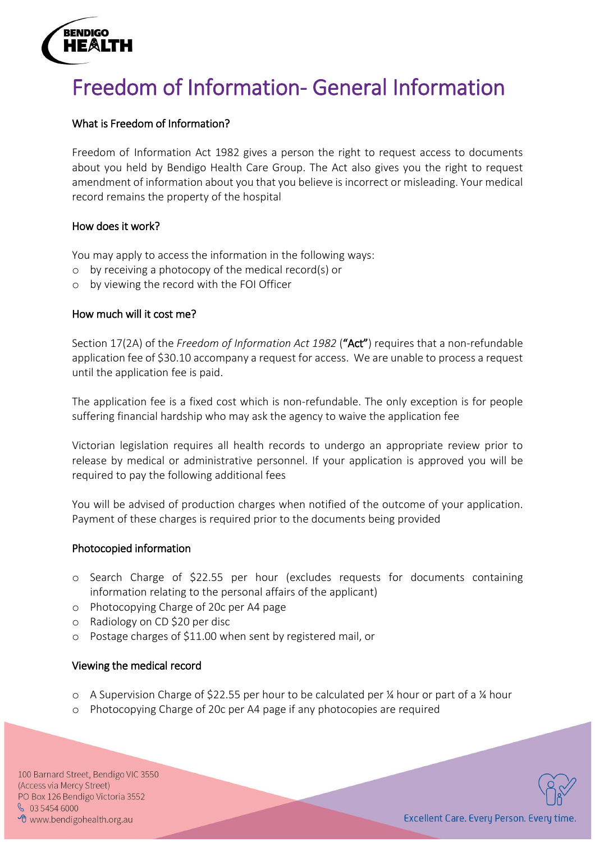

# Freedom of Information- General Information

# What is Freedom of Information?

Freedom of Information Act 1982 gives a person the right to request access to documents about you held by Bendigo Health Care Group. The Act also gives you the right to request amendment of information about you that you believe is incorrect or misleading. Your medical record remains the property of the hospital

# How does it work?

You may apply to access the information in the following ways:

- o by receiving a photocopy of the medical record(s) or
- o by viewing the record with the FOI Officer

# How much will it cost me?

Section 17(2A) of the *Freedom of Information Act 1982* ("Act") requires that a non-refundable application fee of \$30.10 accompany a request for access. We are unable to process a request until the application fee is paid.

The application fee is a fixed cost which is non-refundable. The only exception is for people suffering financial hardship who may ask the agency to waive the application fee

Victorian legislation requires all health records to undergo an appropriate review prior to release by medical or administrative personnel. If your application is approved you will be required to pay the following additional fees

You will be advised of production charges when notified of the outcome of your application. Payment of these charges is required prior to the documents being provided

#### Photocopied information

- o Search Charge of \$22.55 per hour (excludes requests for documents containing information relating to the personal affairs of the applicant)
- o Photocopying Charge of 20c per A4 page
- o Radiology on CD \$20 per disc
- o Postage charges of \$11.00 when sent by registered mail, or

# Viewing the medical record

- $\circ$  A Supervision Charge of \$22.55 per hour to be calculated per % hour or part of a % hour
- o Photocopying Charge of 20c per A4 page if any photocopies are required

100 Barnard Street, Bendigo VIC 3550 (Access via Mercy Street) PO Box 126 Bendigo Victoria 3552  $\frac{6}{5}$  03 5454 6000 <sup>o</sup> www.bendigohealth.org.au

i.



Excellent Care. Every Person. Every time.